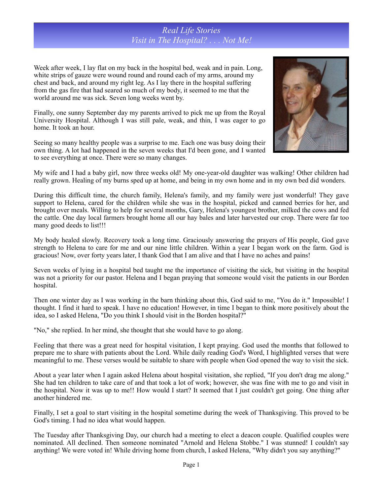## *Real Life Stories Visit in The Hospital? . . . Not Me!*

Week after week, I lay flat on my back in the hospital bed, weak and in pain. Long, white strips of gauze were wound round and round each of my arms, around my chest and back, and around my right leg. As I lay there in the hospital suffering from the gas fire that had seared so much of my body, it seemed to me that the world around me was sick. Seven long weeks went by.

Finally, one sunny September day my parents arrived to pick me up from the Royal University Hospital. Although I was still pale, weak, and thin, I was eager to go home. It took an hour.

Seeing so many healthy people was a surprise to me. Each one was busy doing their own thing. A lot had happened in the seven weeks that I'd been gone, and I wanted to see everything at once. There were so many changes.



My wife and I had a baby girl, now three weeks old! My one-year-old daughter was walking! Other children had really grown. Healing of my burns sped up at home, and being in my own home and in my own bed did wonders.

During this difficult time, the church family, Helena's family, and my family were just wonderful! They gave support to Helena, cared for the children while she was in the hospital, picked and canned berries for her, and brought over meals. Willing to help for several months, Gary, Helena's youngest brother, milked the cows and fed the cattle. One day local farmers brought home all our hay bales and later harvested our crop. There were far too many good deeds to list!!!

My body healed slowly. Recovery took a long time. Graciously answering the prayers of His people, God gave strength to Helena to care for me and our nine little children. Within a year I began work on the farm. God is gracious! Now, over forty years later, I thank God that I am alive and that I have no aches and pains!

Seven weeks of lying in a hospital bed taught me the importance of visiting the sick, but visiting in the hospital was not a priority for our pastor. Helena and I began praying that someone would visit the patients in our Borden hospital.

Then one winter day as I was working in the barn thinking about this, God said to me, "You do it." Impossible! I thought. I find it hard to speak. I have no education! However, in time I began to think more positively about the idea, so I asked Helena, "Do you think I should visit in the Borden hospital?"

"No," she replied. In her mind, she thought that she would have to go along.

Feeling that there was a great need for hospital visitation, I kept praying. God used the months that followed to prepare me to share with patients about the Lord. While daily reading God's Word, I highlighted verses that were meaningful to me. These verses would be suitable to share with people when God opened the way to visit the sick.

About a year later when I again asked Helena about hospital visitation, she replied, "If you don't drag me along." She had ten children to take care of and that took a lot of work; however, she was fine with me to go and visit in the hospital. Now it was up to me!! How would I start? It seemed that I just couldn't get going. One thing after another hindered me.

Finally, I set a goal to start visiting in the hospital sometime during the week of Thanksgiving. This proved to be God's timing. I had no idea what would happen.

The Tuesday after Thanksgiving Day, our church had a meeting to elect a deacon couple. Qualified couples were nominated. All declined. Then someone nominated "Arnold and Helena Stobbe." I was stunned! I couldn't say anything! We were voted in! While driving home from church, I asked Helena, "Why didn't you say anything?"